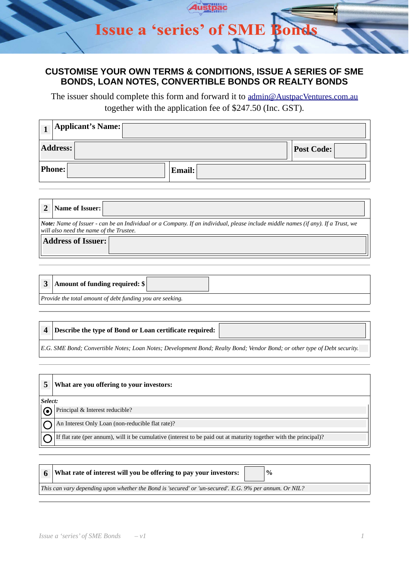### **CUSTOMISE YOUR OWN TERMS & CONDITIONS, ISSUE A SERIES OF SME BONDS, LOAN NOTES, CONVERTIBLE BONDS OR REALTY BONDS**

The issuer should complete this form and forward it to [admin@AustpacVentures.com.au](mailto:admin@AustpacVentures.com.au) together with the application fee of \$247.50 (Inc. GST).

|                 | Applicant's Name: |                   |
|-----------------|-------------------|-------------------|
| <b>Address:</b> |                   | <b>Post Code:</b> |
| <b>Phone:</b>   | <b>Email:</b>     |                   |

| Name of Issuer:                         |                                                                                                                                         |
|-----------------------------------------|-----------------------------------------------------------------------------------------------------------------------------------------|
| will also need the name of the Trustee. | <b>Note:</b> Name of Issuer - can be an Individual or a Company. If an individual, please include middle names (if any). If a Trust, we |
| <b>Address of Issuer:</b>               |                                                                                                                                         |

|                                                           | 3 Amount of funding required: \$ |  |
|-----------------------------------------------------------|----------------------------------|--|
| Provide the total amount of debt funding you are seeking. |                                  |  |

#### **4 Describe the type of Bond or Loan certificate required:**

*E.G. SME Bond; Convertible Notes; Loan Notes; Development Bond; Realty Bond; Vendor Bond; or other type of Debt security.* 

| 5       | What are you offering to your investors:                                                                           |
|---------|--------------------------------------------------------------------------------------------------------------------|
| Select: |                                                                                                                    |
|         | Principal & Interest reducible?                                                                                    |
|         | An Interest Only Loan (non-reducible flat rate)?                                                                   |
|         | If flat rate (per annum), will it be cumulative (interest to be paid out at maturity together with the principal)? |

| $6^{\circ}$ | What rate of interest will you be offering to pay your investors:                                      |  | $\%$ |  |
|-------------|--------------------------------------------------------------------------------------------------------|--|------|--|
|             | This can vary depending upon whether the Bond is 'secured' or 'un-secured'. E.G. 9% per annum. Or NIL? |  |      |  |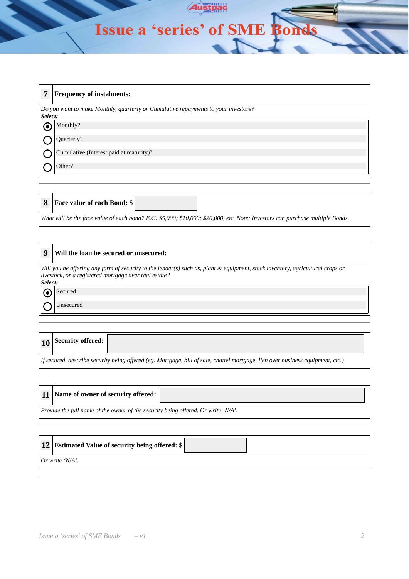# Issue a 'series' of SME Bonds

Austpac

 $\uparrow$ 

| 7       | <b>Frequency of instalments:</b>                                                   |
|---------|------------------------------------------------------------------------------------|
| Select: | Do you want to make Monthly, quarterly or Cumulative repayments to your investors? |
|         | Monthly?                                                                           |
|         | Quarterly?                                                                         |
|         | Cumulative (Interest paid at maturity)?                                            |
|         | Other?                                                                             |

| <b>8</b> Face value of each Bond: \$                                                                                          |  |  |
|-------------------------------------------------------------------------------------------------------------------------------|--|--|
| What will be the face value of each bond? E.G. \$5,000; \$10,000; \$20,000, etc. Note: Investors can purchase multiple Bonds. |  |  |

| 9       | Will the loan be secured or unsecured:                                                                                                                                                 |
|---------|----------------------------------------------------------------------------------------------------------------------------------------------------------------------------------------|
| Select: | Will you be offering any form of security to the lender(s) such as, plant & equipment, stock inventory, agricultural crops or<br>livestock, or a registered mortgage over real estate? |
|         | Secured                                                                                                                                                                                |
|         | Unsecured                                                                                                                                                                              |

| $\vert$ 10 Security offered: $\vert$ |                                                                                                                                |
|--------------------------------------|--------------------------------------------------------------------------------------------------------------------------------|
|                                      | If secured, describe security being offered (eg. Mortgage, bill of sale, chattel mortgage, lien over business equipment, etc.) |

|                                                                                   | 11   Name of owner of security offered: |  |
|-----------------------------------------------------------------------------------|-----------------------------------------|--|
| Provide the full name of the owner of the security being offered. Or write 'N/A'. |                                         |  |

| 12   Estimated Value of security being offered: \$ |  |
|----------------------------------------------------|--|
| $Or$ write 'N/A'.                                  |  |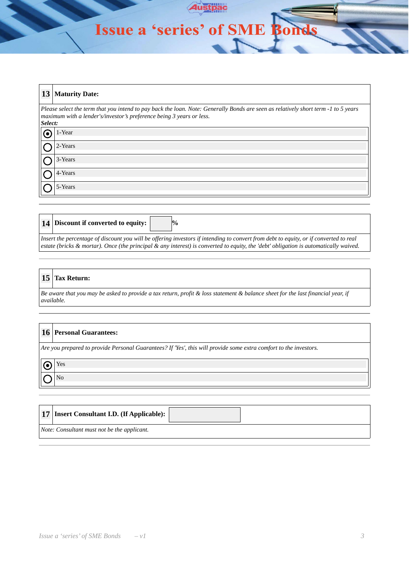## Issue a 'series' of SME Bonds

|         | 13 Maturity Date:                                                                                                                                                                                          |
|---------|------------------------------------------------------------------------------------------------------------------------------------------------------------------------------------------------------------|
| Select: | Please select the term that you intend to pay back the loan. Note: Generally Bonds are seen as relatively short term -1 to 5 years<br>maximum with a lender's/investor's preference being 3 years or less. |
|         | 1-Year                                                                                                                                                                                                     |
|         | 2-Years                                                                                                                                                                                                    |
|         | 3-Years                                                                                                                                                                                                    |
|         | 4-Years                                                                                                                                                                                                    |
|         | 5-Years                                                                                                                                                                                                    |

|                                                                                                                                       | 14 Discount if converted to equity:<br>$\frac{10}{6}$                                                                                |  |  |
|---------------------------------------------------------------------------------------------------------------------------------------|--------------------------------------------------------------------------------------------------------------------------------------|--|--|
| Insert the percentage of discount you will be offering investors if intending to convert from debt to equity, or if converted to real |                                                                                                                                      |  |  |
|                                                                                                                                       | estate (bricks & mortar). Once (the principal & any interest) is converted to equity, the 'debt' obligation is automatically waived. |  |  |

#### **15 Tax Return:**

*Be aware that you may be asked to provide a tax return, profit & loss statement & balance sheet for the last financial year, if available.*

#### **16 Personal Guarantees:**

*Are you prepared to provide Personal Guarantees? If 'Yes', this will provide some extra comfort to the investors.*

| c<br>., |
|---------|
|         |

|                                             | 17   Insert Consultant I.D. (If Applicable): |  |  |
|---------------------------------------------|----------------------------------------------|--|--|
| Note: Consultant must not be the applicant. |                                              |  |  |